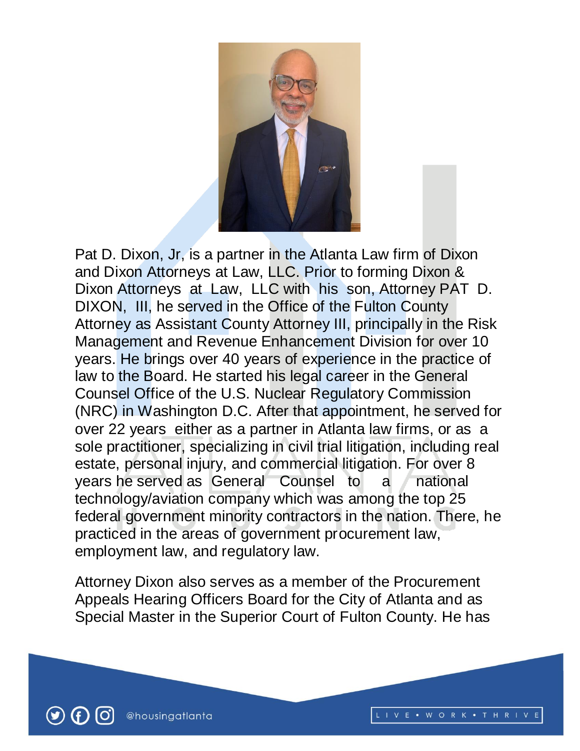

Pat D. Dixon, Jr, is a partner in the Atlanta Law firm of Dixon and Dixon Attorneys at Law, LLC. Prior to forming Dixon & Dixon Attorneys at Law, LLC with his son, Attorney PAT D. DIXON, III, he served in the Office of the Fulton County Attorney as Assistant County Attorney III, principally in the Risk Management and Revenue Enhancement Division for over 10 years. He brings over 40 years of experience in the practice of law to the Board. He started his legal career in the General Counsel Office of the U.S. Nuclear Regulatory Commission (NRC) in Washington D.C. After that appointment, he served for over 22 years either as a partner in Atlanta law firms, or as a sole practitioner, specializing in civil trial litigation, including real estate, personal injury, and commercial litigation. For over 8 years he served as General Counsel to a national technology/aviation company which was among the top 25 federal government minority contractors in the nation. There, he practiced in the areas of government procurement law, employment law, and regulatory law.

Attorney Dixon also serves as a member of the Procurement Appeals Hearing Officers Board for the City of Atlanta and as Special Master in the Superior Court of Fulton County. He has

LIVE . WORK . THRIVE